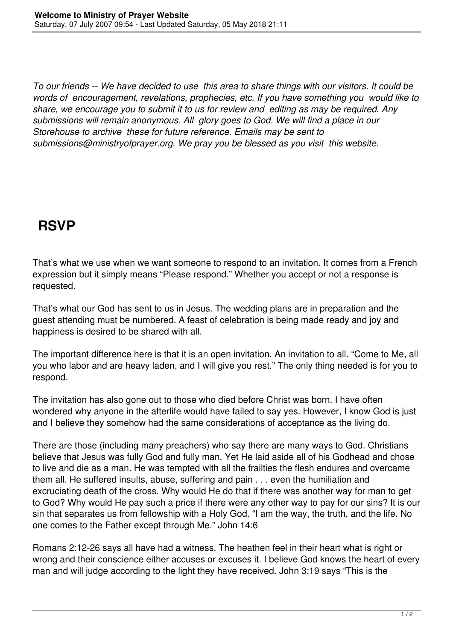*To our friends -- We have decided to use this area to share things with our visitors. It could be words of encouragement, revelations, prophecies, etc. If you have something you would like to share, we encourage you to submit it to us for review and editing as may be required. Any submissions will remain anonymous. All glory goes to God. We will find a place in our Storehouse to archive these for future reference. Emails may be sent to submissions@ministryofprayer.org. We pray you be blessed as you visit this website.*

## **RSVP**

That's what we use when we want someone to respond to an invitation. It comes from a French expression but it simply means "Please respond." Whether you accept or not a response is requested.

That's what our God has sent to us in Jesus. The wedding plans are in preparation and the guest attending must be numbered. A feast of celebration is being made ready and joy and happiness is desired to be shared with all.

The important difference here is that it is an open invitation. An invitation to all. "Come to Me, all you who labor and are heavy laden, and I will give you rest." The only thing needed is for you to respond.

The invitation has also gone out to those who died before Christ was born. I have often wondered why anyone in the afterlife would have failed to say yes. However, I know God is just and I believe they somehow had the same considerations of acceptance as the living do.

There are those (including many preachers) who say there are many ways to God. Christians believe that Jesus was fully God and fully man. Yet He laid aside all of his Godhead and chose to live and die as a man. He was tempted with all the frailties the flesh endures and overcame them all. He suffered insults, abuse, suffering and pain . . . even the humiliation and excruciating death of the cross. Why would He do that if there was another way for man to get to God? Why would He pay such a price if there were any other way to pay for our sins? It is our sin that separates us from fellowship with a Holy God. "I am the way, the truth, and the life. No one comes to the Father except through Me." John 14:6

Romans 2:12-26 says all have had a witness. The heathen feel in their heart what is right or wrong and their conscience either accuses or excuses it. I believe God knows the heart of every man and will judge according to the light they have received. John 3:19 says "This is the